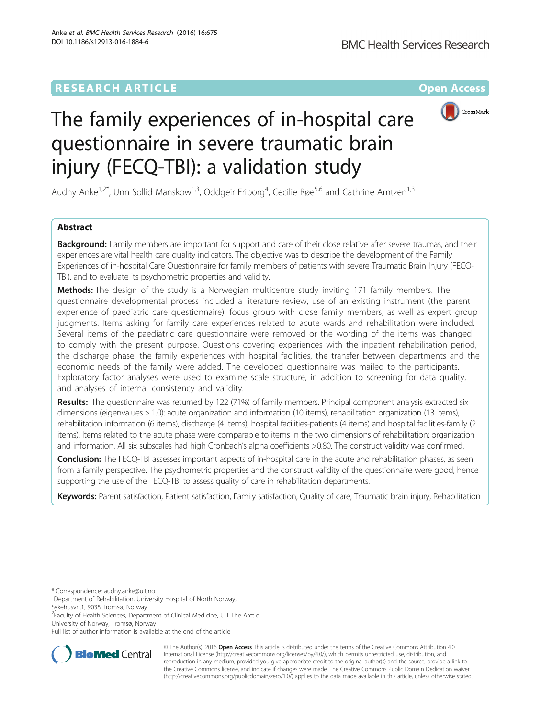# **RESEARCH ARTICLE Example 2014 The Contract of Contract Contract Contract Contract Contract Contract Contract Contract Contract Contract Contract Contract Contract Contract Contract Contract Contract Contract Contract Co**



# The family experiences of in-hospital care questionnaire in severe traumatic brain injury (FECQ-TBI): a validation study

Audny Anke<sup>1,2\*</sup>, Unn Sollid Manskow<sup>1,3</sup>, Oddgeir Friborg<sup>4</sup>, Cecilie Røe<sup>5,6</sup> and Cathrine Arntzen<sup>1,3</sup>

# Abstract

**Background:** Family members are important for support and care of their close relative after severe traumas, and their experiences are vital health care quality indicators. The objective was to describe the development of the Family Experiences of in-hospital Care Questionnaire for family members of patients with severe Traumatic Brain Injury (FECQ-TBI), and to evaluate its psychometric properties and validity.

Methods: The design of the study is a Norwegian multicentre study inviting 171 family members. The questionnaire developmental process included a literature review, use of an existing instrument (the parent experience of paediatric care questionnaire), focus group with close family members, as well as expert group judgments. Items asking for family care experiences related to acute wards and rehabilitation were included. Several items of the paediatric care questionnaire were removed or the wording of the items was changed to comply with the present purpose. Questions covering experiences with the inpatient rehabilitation period, the discharge phase, the family experiences with hospital facilities, the transfer between departments and the economic needs of the family were added. The developed questionnaire was mailed to the participants. Exploratory factor analyses were used to examine scale structure, in addition to screening for data quality, and analyses of internal consistency and validity.

Results: The questionnaire was returned by 122 (71%) of family members. Principal component analysis extracted six dimensions (eigenvalues > 1.0): acute organization and information (10 items), rehabilitation organization (13 items), rehabilitation information (6 items), discharge (4 items), hospital facilities-patients (4 items) and hospital facilities-family (2 items). Items related to the acute phase were comparable to items in the two dimensions of rehabilitation: organization and information. All six subscales had high Cronbach's alpha coefficients >0.80. The construct validity was confirmed.

Conclusion: The FECQ-TBI assesses important aspects of in-hospital care in the acute and rehabilitation phases, as seen from a family perspective. The psychometric properties and the construct validity of the questionnaire were good, hence supporting the use of the FECQ-TBI to assess quality of care in rehabilitation departments.

Keywords: Parent satisfaction, Patient satisfaction, Family satisfaction, Quality of care, Traumatic brain injury, Rehabilitation

\* Correspondence: [audny.anke@uit.no](mailto:audny.anke@uit.no) <sup>1</sup>

Sykehusvn.1, 9038 Tromsø, Norway

<sup>2</sup> Faculty of Health Sciences, Department of Clinical Medicine, UiT The Arctic University of Norway, Tromsø, Norway

Full list of author information is available at the end of the article



© The Author(s). 2016 **Open Access** This article is distributed under the terms of the Creative Commons Attribution 4.0 International License [\(http://creativecommons.org/licenses/by/4.0/](http://creativecommons.org/licenses/by/4.0/)), which permits unrestricted use, distribution, and reproduction in any medium, provided you give appropriate credit to the original author(s) and the source, provide a link to the Creative Commons license, and indicate if changes were made. The Creative Commons Public Domain Dedication waiver [\(http://creativecommons.org/publicdomain/zero/1.0/](http://creativecommons.org/publicdomain/zero/1.0/)) applies to the data made available in this article, unless otherwise stated.

<sup>&</sup>lt;sup>1</sup>Department of Rehabilitation, University Hospital of North Norway,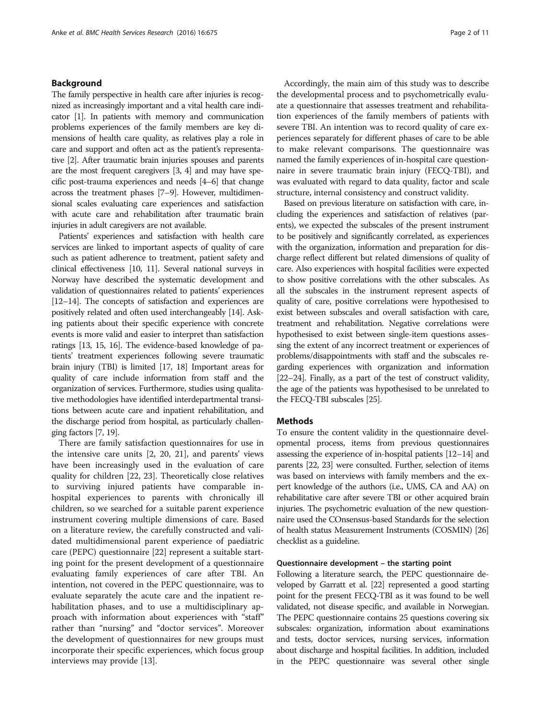# Background

The family perspective in health care after injuries is recognized as increasingly important and a vital health care indicator [[1](#page-10-0)]. In patients with memory and communication problems experiences of the family members are key dimensions of health care quality, as relatives play a role in care and support and often act as the patient's representative [\[2\]](#page-10-0). After traumatic brain injuries spouses and parents are the most frequent caregivers [\[3, 4](#page-10-0)] and may have specific post-trauma experiences and needs [[4](#page-10-0)–[6\]](#page-10-0) that change across the treatment phases [\[7](#page-10-0)–[9\]](#page-10-0). However, multidimensional scales evaluating care experiences and satisfaction with acute care and rehabilitation after traumatic brain injuries in adult caregivers are not available.

Patients' experiences and satisfaction with health care services are linked to important aspects of quality of care such as patient adherence to treatment, patient safety and clinical effectiveness [\[10, 11\]](#page-10-0). Several national surveys in Norway have described the systematic development and validation of questionnaires related to patients' experiences [[12](#page-10-0)–[14](#page-10-0)]. The concepts of satisfaction and experiences are positively related and often used interchangeably [[14](#page-10-0)]. Asking patients about their specific experience with concrete events is more valid and easier to interpret than satisfaction ratings [[13](#page-10-0), [15](#page-10-0), [16\]](#page-10-0). The evidence-based knowledge of patients' treatment experiences following severe traumatic brain injury (TBI) is limited [[17, 18\]](#page-10-0) Important areas for quality of care include information from staff and the organization of services. Furthermore, studies using qualitative methodologies have identified interdepartmental transitions between acute care and inpatient rehabilitation, and the discharge period from hospital, as particularly challenging factors [[7](#page-10-0), [19\]](#page-10-0).

There are family satisfaction questionnaires for use in the intensive care units [\[2](#page-10-0), [20, 21](#page-10-0)], and parents' views have been increasingly used in the evaluation of care quality for children [[22, 23\]](#page-10-0). Theoretically close relatives to surviving injured patients have comparable inhospital experiences to parents with chronically ill children, so we searched for a suitable parent experience instrument covering multiple dimensions of care. Based on a literature review, the carefully constructed and validated multidimensional parent experience of paediatric care (PEPC) questionnaire [[22](#page-10-0)] represent a suitable starting point for the present development of a questionnaire evaluating family experiences of care after TBI. An intention, not covered in the PEPC questionnaire, was to evaluate separately the acute care and the inpatient rehabilitation phases, and to use a multidisciplinary approach with information about experiences with "staff" rather than "nursing" and "doctor services". Moreover the development of questionnaires for new groups must incorporate their specific experiences, which focus group interviews may provide [[13\]](#page-10-0).

Accordingly, the main aim of this study was to describe the developmental process and to psychometrically evaluate a questionnaire that assesses treatment and rehabilitation experiences of the family members of patients with severe TBI. An intention was to record quality of care experiences separately for different phases of care to be able to make relevant comparisons. The questionnaire was named the family experiences of in-hospital care questionnaire in severe traumatic brain injury (FECQ-TBI), and was evaluated with regard to data quality, factor and scale structure, internal consistency and construct validity.

Based on previous literature on satisfaction with care, including the experiences and satisfaction of relatives (parents), we expected the subscales of the present instrument to be positively and significantly correlated, as experiences with the organization, information and preparation for discharge reflect different but related dimensions of quality of care. Also experiences with hospital facilities were expected to show positive correlations with the other subscales. As all the subscales in the instrument represent aspects of quality of care, positive correlations were hypothesised to exist between subscales and overall satisfaction with care, treatment and rehabilitation. Negative correlations were hypothesised to exist between single-item questions assessing the extent of any incorrect treatment or experiences of problems/disappointments with staff and the subscales regarding experiences with organization and information [[22](#page-10-0)–[24](#page-10-0)]. Finally, as a part of the test of construct validity, the age of the patients was hypothesised to be unrelated to the FECQ-TBI subscales [\[25](#page-10-0)].

# **Methods**

To ensure the content validity in the questionnaire developmental process, items from previous questionnaires assessing the experience of in-hospital patients [[12](#page-10-0)–[14](#page-10-0)] and parents [[22](#page-10-0), [23\]](#page-10-0) were consulted. Further, selection of items was based on interviews with family members and the expert knowledge of the authors (i.e., UMS, CA and AA) on rehabilitative care after severe TBI or other acquired brain injuries. The psychometric evaluation of the new questionnaire used the COnsensus-based Standards for the selection of health status Measurement Instruments (COSMIN) [\[26](#page-10-0)] checklist as a guideline.

# Questionnaire development – the starting point

Following a literature search, the PEPC questionnaire developed by Garratt et al. [\[22\]](#page-10-0) represented a good starting point for the present FECQ-TBI as it was found to be well validated, not disease specific, and available in Norwegian. The PEPC questionnaire contains 25 questions covering six subscales: organization, information about examinations and tests, doctor services, nursing services, information about discharge and hospital facilities. In addition, included in the PEPC questionnaire was several other single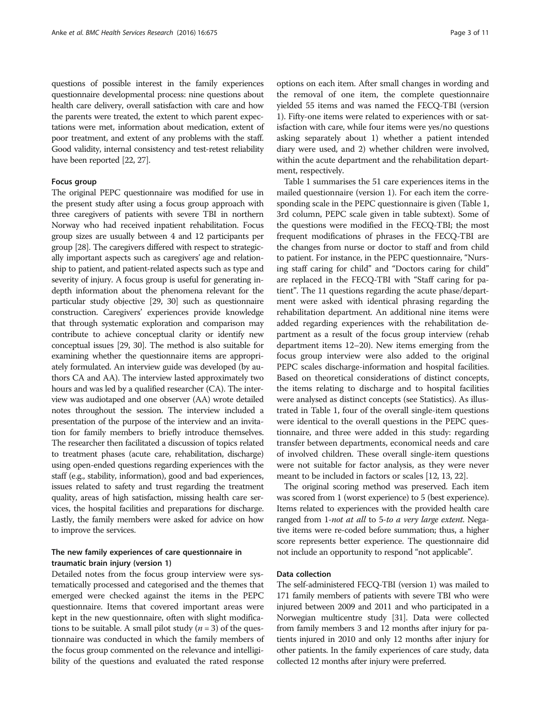questions of possible interest in the family experiences questionnaire developmental process: nine questions about health care delivery, overall satisfaction with care and how the parents were treated, the extent to which parent expectations were met, information about medication, extent of poor treatment, and extent of any problems with the staff. Good validity, internal consistency and test-retest reliability have been reported [\[22, 27\]](#page-10-0).

# Focus group

The original PEPC questionnaire was modified for use in the present study after using a focus group approach with three caregivers of patients with severe TBI in northern Norway who had received inpatient rehabilitation. Focus group sizes are usually between 4 and 12 participants per group [\[28\]](#page-10-0). The caregivers differed with respect to strategically important aspects such as caregivers' age and relationship to patient, and patient-related aspects such as type and severity of injury. A focus group is useful for generating indepth information about the phenomena relevant for the particular study objective [[29](#page-10-0), [30](#page-10-0)] such as questionnaire construction. Caregivers' experiences provide knowledge that through systematic exploration and comparison may contribute to achieve conceptual clarity or identify new conceptual issues [[29](#page-10-0), [30](#page-10-0)]. The method is also suitable for examining whether the questionnaire items are appropriately formulated. An interview guide was developed (by authors CA and AA). The interview lasted approximately two hours and was led by a qualified researcher (CA). The interview was audiotaped and one observer (AA) wrote detailed notes throughout the session. The interview included a presentation of the purpose of the interview and an invitation for family members to briefly introduce themselves. The researcher then facilitated a discussion of topics related to treatment phases (acute care, rehabilitation, discharge) using open-ended questions regarding experiences with the staff (e.g., stability, information), good and bad experiences, issues related to safety and trust regarding the treatment quality, areas of high satisfaction, missing health care services, the hospital facilities and preparations for discharge. Lastly, the family members were asked for advice on how to improve the services.

# The new family experiences of care questionnaire in traumatic brain injury (version 1)

Detailed notes from the focus group interview were systematically processed and categorised and the themes that emerged were checked against the items in the PEPC questionnaire. Items that covered important areas were kept in the new questionnaire, often with slight modifications to be suitable. A small pilot study ( $n = 3$ ) of the questionnaire was conducted in which the family members of the focus group commented on the relevance and intelligibility of the questions and evaluated the rated response options on each item. After small changes in wording and the removal of one item, the complete questionnaire yielded 55 items and was named the FECQ-TBI (version 1). Fifty-one items were related to experiences with or satisfaction with care, while four items were yes/no questions asking separately about 1) whether a patient intended diary were used, and 2) whether children were involved, within the acute department and the rehabilitation department, respectively.

Table [1](#page-3-0) summarises the 51 care experiences items in the mailed questionnaire (version 1). For each item the corresponding scale in the PEPC questionnaire is given (Table [1](#page-3-0), 3rd column, PEPC scale given in table subtext). Some of the questions were modified in the FECQ-TBI; the most frequent modifications of phrases in the FECQ-TBI are the changes from nurse or doctor to staff and from child to patient. For instance, in the PEPC questionnaire, "Nursing staff caring for child" and "Doctors caring for child" are replaced in the FECQ-TBI with "Staff caring for patient". The 11 questions regarding the acute phase/department were asked with identical phrasing regarding the rehabilitation department. An additional nine items were added regarding experiences with the rehabilitation department as a result of the focus group interview (rehab department items 12–20). New items emerging from the focus group interview were also added to the original PEPC scales discharge-information and hospital facilities. Based on theoretical considerations of distinct concepts, the items relating to discharge and to hospital facilities were analysed as distinct concepts (see Statistics). As illustrated in Table [1,](#page-3-0) four of the overall single-item questions were identical to the overall questions in the PEPC questionnaire, and three were added in this study: regarding transfer between departments, economical needs and care of involved children. These overall single-item questions were not suitable for factor analysis, as they were never meant to be included in factors or scales [[12](#page-10-0), [13, 22](#page-10-0)].

The original scoring method was preserved. Each item was scored from 1 (worst experience) to 5 (best experience). Items related to experiences with the provided health care ranged from 1-not at all to 5-to a very large extent. Negative items were re-coded before summation; thus, a higher score represents better experience. The questionnaire did not include an opportunity to respond "not applicable".

# Data collection

The self-administered FECQ-TBI (version 1) was mailed to 171 family members of patients with severe TBI who were injured between 2009 and 2011 and who participated in a Norwegian multicentre study [[31\]](#page-10-0). Data were collected from family members 3 and 12 months after injury for patients injured in 2010 and only 12 months after injury for other patients. In the family experiences of care study, data collected 12 months after injury were preferred.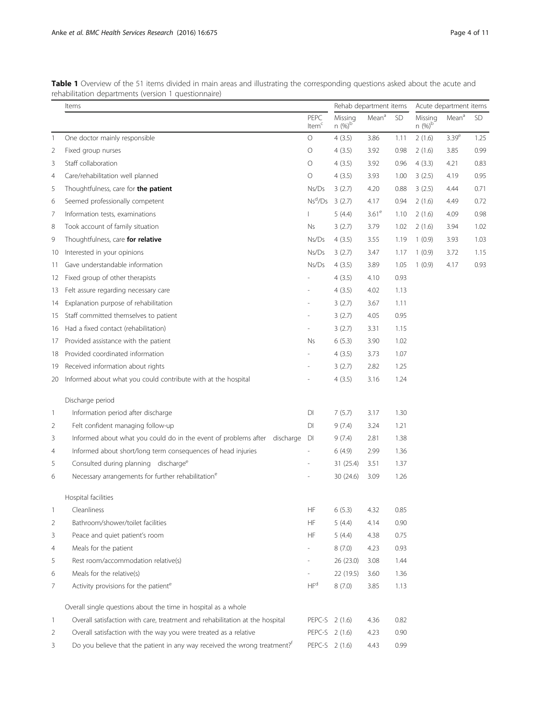|              | Items                                                                                 |                              | Rehab department items |                   | Acute department items |                      |                   |           |
|--------------|---------------------------------------------------------------------------------------|------------------------------|------------------------|-------------------|------------------------|----------------------|-------------------|-----------|
|              |                                                                                       | PEPC<br>Item <sup>c</sup>    | Missing<br>$n (%)^b$   | Mean <sup>a</sup> | <b>SD</b>              | Missing<br>$n (%)^b$ | Mean <sup>a</sup> | <b>SD</b> |
| 1            | One doctor mainly responsible                                                         | $\bigcirc$                   | 4(3.5)                 | 3.86              | 1.11                   | 2(1.6)               | 3.39 <sup>e</sup> | 1.25      |
| 2            | Fixed group nurses                                                                    | O                            | 4(3.5)                 | 3.92              | 0.98                   | 2(1.6)               | 3.85              | 0.99      |
| 3            | Staff collaboration                                                                   | O                            | 4(3.5)                 | 3.92              | 0.96                   | 4(3.3)               | 4.21              | 0.83      |
| 4            | Care/rehabilitation well planned                                                      | $\circ$                      | 4(3.5)                 | 3.93              | 1.00                   | 3(2.5)               | 4.19              | 0.95      |
| 5            | Thoughtfulness, care for the patient                                                  | Ns/Ds                        | 3(2.7)                 | 4.20              | 0.88                   | 3(2.5)               | 4.44              | 0.71      |
| 6            | Seemed professionally competent                                                       | $Ns^d/Ds$                    | 3(2.7)                 | 4.17              | 0.94                   | 2(1.6)               | 4.49              | 0.72      |
| 7            | Information tests, examinations                                                       | $\mathbf{I}$                 | 5(4.4)                 | 3.61 <sup>e</sup> | 1.10                   | 2(1.6)               | 4.09              | 0.98      |
| 8            | Took account of family situation                                                      | Ns                           | 3(2.7)                 | 3.79              | 1.02                   | 2(1.6)               | 3.94              | 1.02      |
| 9            | Thoughtfulness, care for relative                                                     | Ns/Ds                        | 4(3.5)                 | 3.55              | 1.19                   | 1(0.9)               | 3.93              | 1.03      |
| 10           | Interested in your opinions                                                           | Ns/Ds                        | 3(2.7)                 | 3.47              | 1.17                   | 1(0.9)               | 3.72              | 1.15      |
| 11           | Gave understandable information                                                       | Ns/Ds                        | 4(3.5)                 | 3.89              | 1.05                   | 1(0.9)               | 4.17              | 0.93      |
| 12           | Fixed group of other therapists                                                       |                              | 4(3.5)                 | 4.10              | 0.93                   |                      |                   |           |
| 13           | Felt assure regarding necessary care                                                  |                              | 4(3.5)                 | 4.02              | 1.13                   |                      |                   |           |
| 14           | Explanation purpose of rehabilitation                                                 |                              | 3(2.7)                 | 3.67              | 1.11                   |                      |                   |           |
| 15           | Staff committed themselves to patient                                                 |                              | 3(2.7)                 | 4.05              | 0.95                   |                      |                   |           |
| 16           | Had a fixed contact (rehabilitation)                                                  |                              | 3(2.7)                 | 3.31              | 1.15                   |                      |                   |           |
| 17           | Provided assistance with the patient                                                  | Ns                           | 6(5.3)                 | 3.90              | 1.02                   |                      |                   |           |
| 18           | Provided coordinated information                                                      |                              | 4(3.5)                 | 3.73              | 1.07                   |                      |                   |           |
| 19           | Received information about rights                                                     |                              | 3(2.7)                 | 2.82              | 1.25                   |                      |                   |           |
| 20           | Informed about what you could contribute with at the hospital                         |                              | 4(3.5)                 | 3.16              | 1.24                   |                      |                   |           |
|              | Discharge period                                                                      |                              |                        |                   |                        |                      |                   |           |
| $\mathbf{1}$ | Information period after discharge                                                    | DI                           | 7(5.7)                 | 3.17              | 1.30                   |                      |                   |           |
| 2            | Felt confident managing follow-up                                                     | DI                           | 9(7.4)                 | 3.24              | 1.21                   |                      |                   |           |
| 3            | Informed about what you could do in the event of problems after discharge             | DI                           | 9(7.4)                 | 2.81              | 1.38                   |                      |                   |           |
| 4            | Informed about short/long term consequences of head injuries                          |                              | 6(4.9)                 | 2.99              | 1.36                   |                      |                   |           |
| 5            | Consulted during planning discharge <sup>e</sup>                                      |                              | 31 (25.4)              | 3.51              | 1.37                   |                      |                   |           |
| 6            | Necessary arrangements for further rehabilitation <sup>e</sup>                        |                              | 30 (24.6)              | 3.09              | 1.26                   |                      |                   |           |
|              | Hospital facilities                                                                   |                              |                        |                   |                        |                      |                   |           |
| $\mathbf{1}$ | Cleanliness                                                                           | $\mathsf{HF}% _{\mathsf{F}}$ | 6(5.3)                 | 4.32              | 0.85                   |                      |                   |           |
| 2            | Bathroom/shower/toilet facilities                                                     | HF                           | 5(4.4)                 | 4.14              | 0.90                   |                      |                   |           |
| 3            | Peace and quiet patient's room                                                        | HF                           | 5(4.4)                 | 4.38              | 0.75                   |                      |                   |           |
| 4            | Meals for the patient                                                                 |                              | 8(7.0)                 | 4.23              | 0.93                   |                      |                   |           |
| 5            | Rest room/accommodation relative(s)                                                   |                              | 26 (23.0)              | 3.08              | 1.44                   |                      |                   |           |
| 6            | Meals for the relative(s)                                                             |                              | 22 (19.5)              | 3.60              | 1.36                   |                      |                   |           |
| 7            | Activity provisions for the patient <sup>e</sup>                                      | HF <sup>d</sup>              | 8(7.0)                 | 3.85              | 1.13                   |                      |                   |           |
|              | Overall single questions about the time in hospital as a whole                        |                              |                        |                   |                        |                      |                   |           |
| $\mathbf{1}$ | Overall satisfaction with care, treatment and rehabilitation at the hospital          | PEPC-S 2 (1.6)               |                        | 4.36              | 0.82                   |                      |                   |           |
| 2            | Overall satisfaction with the way you were treated as a relative                      | PEPC-S 2 (1.6)               |                        | 4.23              | 0.90                   |                      |                   |           |
| 3            | Do you believe that the patient in any way received the wrong treatment? <sup>f</sup> | PEPC-S 2 (1.6)               |                        | 4.43              | 0.99                   |                      |                   |           |

<span id="page-3-0"></span>Table 1 Overview of the 51 items divided in main areas and illustrating the corresponding questions asked about the acute and rehabilitation departments (version 1 questionnaire)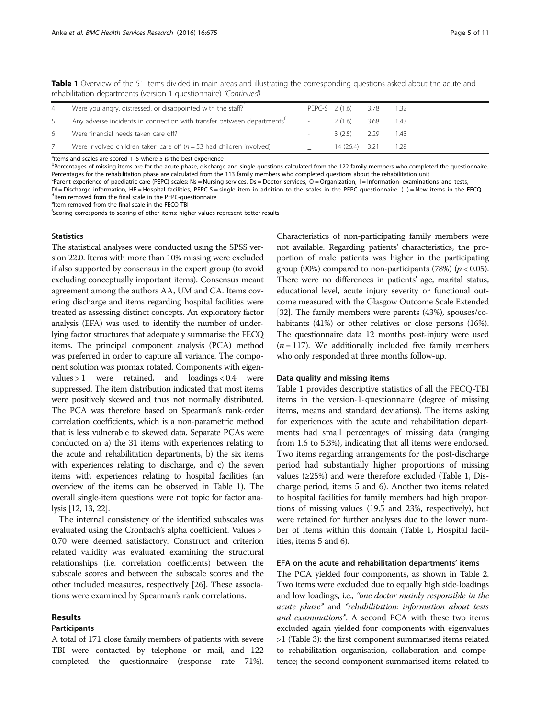Table 1 Overview of the 51 items divided in main areas and illustrating the corresponding questions asked about the acute and rehabilitation departments (version 1 questionnaire) (Continued)

| 4  | Were you angry, distressed, or disappointed with the staff? <sup>†</sup>           | PEPC-S 2 (1.6) |                 | 3.78 | 1.32   |
|----|------------------------------------------------------------------------------------|----------------|-----------------|------|--------|
| .5 | Any adverse incidents in connection with transfer between departments <sup>t</sup> |                | 2 (1.6)         | 3.68 | - 1.43 |
| 6. | Were financial needs taken care off?                                               |                | $3(2.5)$ 2.29   |      | - 1.43 |
|    | Were involved children taken care off ( $n = 53$ had children involved)            |                | $14(26.4)$ 3.21 |      | 128    |

<sup>a</sup>ltems and scales are scored 1–5 where 5 is the best experience<br>**bPercentages of missing items are for the acute phase discharge** 

<sup>b</sup>Percentages of missing items are for the acute phase, discharge and single questions calculated from the 122 family members who completed the questionnaire. Percentages for the rehabilitation phase are calculated from the 113 family members who completed questions about the rehabilitation unit

<sup>c</sup>Parent experience of paediatric care (PEPC) scales: Ns = Nursing services, Ds = Doctor services, O = Organization, I = Information–examinations and tests,

DI = Discharge information, HF = Hospital facilities, PEPC-S = single item in addition to the scales in the PEPC questionnaire. (-) = New items in the FECQ <sup>d</sup>Item removed from the final scale in the PEPC-questionnaire

<sup>e</sup>ltem removed from the final scale in the FECQ-TBI

<sup>f</sup>Scoring corresponds to scoring of other items: higher values represent better results

#### **Statistics**

The statistical analyses were conducted using the SPSS version 22.0. Items with more than 10% missing were excluded if also supported by consensus in the expert group (to avoid excluding conceptually important items). Consensus meant agreement among the authors AA, UM and CA. Items covering discharge and items regarding hospital facilities were treated as assessing distinct concepts. An exploratory factor analysis (EFA) was used to identify the number of underlying factor structures that adequately summarise the FECQ items. The principal component analysis (PCA) method was preferred in order to capture all variance. The component solution was promax rotated. Components with eigenvalues > 1 were retained, and loadings < 0.4 were suppressed. The item distribution indicated that most items were positively skewed and thus not normally distributed. The PCA was therefore based on Spearman's rank-order correlation coefficients, which is a non-parametric method that is less vulnerable to skewed data. Separate PCAs were conducted on a) the 31 items with experiences relating to the acute and rehabilitation departments, b) the six items with experiences relating to discharge, and c) the seven items with experiences relating to hospital facilities (an overview of the items can be observed in Table [1](#page-3-0)). The overall single-item questions were not topic for factor analysis [\[12, 13, 22\]](#page-10-0).

The internal consistency of the identified subscales was evaluated using the Cronbach's alpha coefficient. Values > 0.70 were deemed satisfactory. Construct and criterion related validity was evaluated examining the structural relationships (i.e. correlation coefficients) between the subscale scores and between the subscale scores and the other included measures, respectively [\[26\]](#page-10-0). These associations were examined by Spearman's rank correlations.

# Results

#### Participants

A total of 171 close family members of patients with severe TBI were contacted by telephone or mail, and 122 completed the questionnaire (response rate 71%). Characteristics of non-participating family members were not available. Regarding patients' characteristics, the proportion of male patients was higher in the participating group (90%) compared to non-participants (78%) ( $p < 0.05$ ). There were no differences in patients' age, marital status, educational level, acute injury severity or functional outcome measured with the Glasgow Outcome Scale Extended [[32](#page-10-0)]. The family members were parents (43%), spouses/cohabitants (41%) or other relatives or close persons (16%). The questionnaire data 12 months post-injury were used  $(n = 117)$ . We additionally included five family members who only responded at three months follow-up.

#### Data quality and missing items

Table [1](#page-3-0) provides descriptive statistics of all the FECQ-TBI items in the version-1-questionnaire (degree of missing items, means and standard deviations). The items asking for experiences with the acute and rehabilitation departments had small percentages of missing data (ranging from 1.6 to 5.3%), indicating that all items were endorsed. Two items regarding arrangements for the post-discharge period had substantially higher proportions of missing values (≥25%) and were therefore excluded (Table [1](#page-3-0), Discharge period, items 5 and 6). Another two items related to hospital facilities for family members had high proportions of missing values (19.5 and 23%, respectively), but were retained for further analyses due to the lower number of items within this domain (Table [1](#page-3-0), Hospital facilities, items 5 and 6).

#### EFA on the acute and rehabilitation departments' items

The PCA yielded four components, as shown in Table [2](#page-5-0). Two items were excluded due to equally high side-loadings and low loadings, i.e., "one doctor mainly responsible in the acute phase" and "rehabilitation: information about tests and examinations". A second PCA with these two items excluded again yielded four components with eigenvalues >1 (Table [3\)](#page-6-0): the first component summarised items related to rehabilitation organisation, collaboration and competence; the second component summarised items related to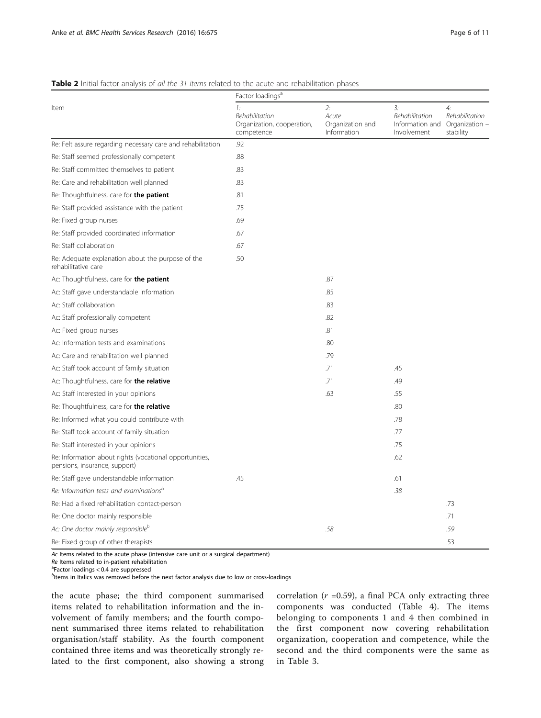|                                                                                          | Factor loadings <sup>a</sup>                                     |                                                |                                                                       |                                   |  |  |
|------------------------------------------------------------------------------------------|------------------------------------------------------------------|------------------------------------------------|-----------------------------------------------------------------------|-----------------------------------|--|--|
| Item                                                                                     | 1:<br>Rehabilitation<br>Organization, cooperation,<br>competence | 2:<br>Acute<br>Organization and<br>Information | 3:<br>Rehabilitation<br>Information and Organization -<br>Involvement | 4:<br>Rehabilitation<br>stability |  |  |
| Re: Felt assure regarding necessary care and rehabilitation                              | .92                                                              |                                                |                                                                       |                                   |  |  |
| Re: Staff seemed professionally competent                                                | .88                                                              |                                                |                                                                       |                                   |  |  |
| Re: Staff committed themselves to patient                                                | .83                                                              |                                                |                                                                       |                                   |  |  |
| Re: Care and rehabilitation well planned                                                 | .83                                                              |                                                |                                                                       |                                   |  |  |
| Re: Thoughtfulness, care for the patient                                                 | .81                                                              |                                                |                                                                       |                                   |  |  |
| Re: Staff provided assistance with the patient                                           | .75                                                              |                                                |                                                                       |                                   |  |  |
| Re: Fixed group nurses                                                                   | .69                                                              |                                                |                                                                       |                                   |  |  |
| Re: Staff provided coordinated information                                               | .67                                                              |                                                |                                                                       |                                   |  |  |
| Re: Staff collaboration                                                                  | .67                                                              |                                                |                                                                       |                                   |  |  |
| Re: Adequate explanation about the purpose of the<br>rehabilitative care                 | .50                                                              |                                                |                                                                       |                                   |  |  |
| Ac: Thoughtfulness, care for the patient                                                 |                                                                  | .87                                            |                                                                       |                                   |  |  |
| Ac: Staff gave understandable information                                                |                                                                  | .85                                            |                                                                       |                                   |  |  |
| Ac: Staff collaboration                                                                  |                                                                  | .83                                            |                                                                       |                                   |  |  |
| Ac: Staff professionally competent                                                       |                                                                  | .82                                            |                                                                       |                                   |  |  |
| Ac: Fixed group nurses                                                                   |                                                                  | .81                                            |                                                                       |                                   |  |  |
| Ac: Information tests and examinations                                                   |                                                                  | .80                                            |                                                                       |                                   |  |  |
| Ac: Care and rehabilitation well planned                                                 |                                                                  | .79                                            |                                                                       |                                   |  |  |
| Ac: Staff took account of family situation                                               |                                                                  | .71                                            | .45                                                                   |                                   |  |  |
| Ac: Thoughtfulness, care for the relative                                                |                                                                  | .71                                            | .49                                                                   |                                   |  |  |
| Ac: Staff interested in your opinions                                                    |                                                                  | .63                                            | .55                                                                   |                                   |  |  |
| Re: Thoughtfulness, care for the relative                                                |                                                                  |                                                | .80                                                                   |                                   |  |  |
| Re: Informed what you could contribute with                                              |                                                                  |                                                | .78                                                                   |                                   |  |  |
| Re: Staff took account of family situation                                               |                                                                  |                                                | .77                                                                   |                                   |  |  |
| Re: Staff interested in your opinions                                                    |                                                                  |                                                | .75                                                                   |                                   |  |  |
| Re: Information about rights (vocational opportunities,<br>pensions, insurance, support) |                                                                  |                                                | .62                                                                   |                                   |  |  |
| Re: Staff gave understandable information                                                | .45                                                              |                                                | .61                                                                   |                                   |  |  |
| Re: Information tests and examinations <sup>b</sup>                                      |                                                                  |                                                | .38                                                                   |                                   |  |  |
| Re: Had a fixed rehabilitation contact-person                                            |                                                                  |                                                |                                                                       | .73                               |  |  |
| Re: One doctor mainly responsible                                                        |                                                                  |                                                |                                                                       | .71                               |  |  |
| Ac: One doctor mainly responsible <sup>b</sup>                                           |                                                                  | .58                                            |                                                                       | .59                               |  |  |
| Re: Fixed group of other therapists                                                      |                                                                  |                                                |                                                                       | .53                               |  |  |

#### <span id="page-5-0"></span>Table 2 Initial factor analysis of all the 31 items related to the acute and rehabilitation phases

Ac Items related to the acute phase (intensive care unit or a surgical department)

Re Items related to in-patient rehabilitation

<sup>a</sup>Factor loadings < 0.4 are suppressed

<sup>b</sup>ltems in Italics was removed before the next factor analysis due to low or cross-loadings

the acute phase; the third component summarised items related to rehabilitation information and the involvement of family members; and the fourth component summarised three items related to rehabilitation organisation/staff stability. As the fourth component contained three items and was theoretically strongly related to the first component, also showing a strong correlation ( $r = 0.59$ ), a final PCA only extracting three components was conducted (Table [4\)](#page-7-0). The items belonging to components 1 and 4 then combined in the first component now covering rehabilitation organization, cooperation and competence, while the second and the third components were the same as in Table [3.](#page-6-0)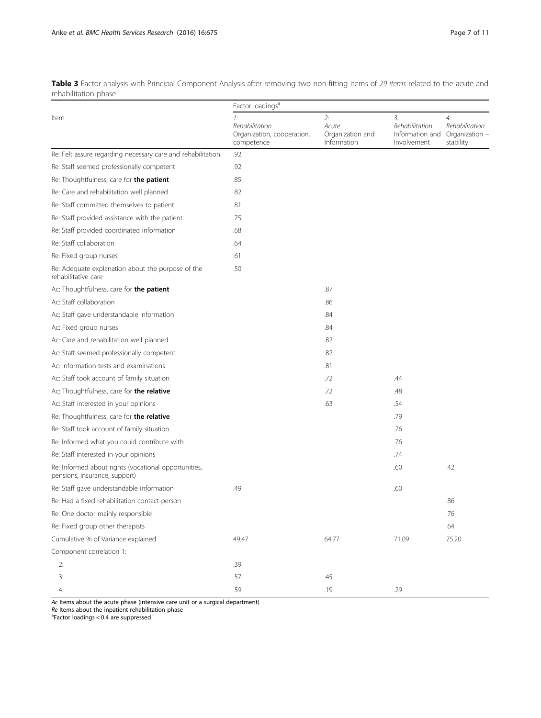<span id="page-6-0"></span>Table 3 Factor analysis with Principal Component Analysis after removing two non-fitting items of 29 items related to the acute and rehabilitation phase

|                                                                                       | Factor loadings <sup>a</sup>                                     |                                                |                                                        |                                                     |  |  |  |
|---------------------------------------------------------------------------------------|------------------------------------------------------------------|------------------------------------------------|--------------------------------------------------------|-----------------------------------------------------|--|--|--|
| Item                                                                                  | 1:<br>Rehabilitation<br>Organization, cooperation,<br>competence | 2:<br>Acute<br>Organization and<br>Information | 3:<br>Rehabilitation<br>Information and<br>Involvement | 4:<br>Rehabilitation<br>Organization -<br>stability |  |  |  |
| Re: Felt assure regarding necessary care and rehabilitation                           | .92                                                              |                                                |                                                        |                                                     |  |  |  |
| Re: Staff seemed professionally competent                                             | .92                                                              |                                                |                                                        |                                                     |  |  |  |
| Re: Thoughtfulness, care for the patient                                              | .85                                                              |                                                |                                                        |                                                     |  |  |  |
| Re: Care and rehabilitation well planned                                              | .82                                                              |                                                |                                                        |                                                     |  |  |  |
| Re: Staff committed themselves to patient                                             | .81                                                              |                                                |                                                        |                                                     |  |  |  |
| Re: Staff provided assistance with the patient                                        | .75                                                              |                                                |                                                        |                                                     |  |  |  |
| Re: Staff provided coordinated information                                            | .68                                                              |                                                |                                                        |                                                     |  |  |  |
| Re: Staff collaboration                                                               | .64                                                              |                                                |                                                        |                                                     |  |  |  |
| Re: Fixed group nurses                                                                | .61                                                              |                                                |                                                        |                                                     |  |  |  |
| Re: Adequate explanation about the purpose of the<br>rehabilitative care              | .50                                                              |                                                |                                                        |                                                     |  |  |  |
| Ac: Thoughtfulness, care for the patient                                              |                                                                  | .87                                            |                                                        |                                                     |  |  |  |
| Ac: Staff collaboration                                                               |                                                                  | .86                                            |                                                        |                                                     |  |  |  |
| Ac: Staff gave understandable information                                             |                                                                  | .84                                            |                                                        |                                                     |  |  |  |
| Ac: Fixed group nurses                                                                |                                                                  | .84                                            |                                                        |                                                     |  |  |  |
| Ac: Care and rehabilitation well planned                                              |                                                                  | .82                                            |                                                        |                                                     |  |  |  |
| Ac: Staff seemed professionally competent                                             |                                                                  | .82                                            |                                                        |                                                     |  |  |  |
| Ac: Information tests and examinations                                                |                                                                  | .81                                            |                                                        |                                                     |  |  |  |
| Ac: Staff took account of family situation                                            |                                                                  | .72                                            | .44                                                    |                                                     |  |  |  |
| Ac: Thoughtfulness, care for the relative                                             |                                                                  | .72                                            | .48                                                    |                                                     |  |  |  |
| Ac: Staff interested in your opinions                                                 |                                                                  | .63                                            | .54                                                    |                                                     |  |  |  |
| Re: Thoughtfulness, care for the relative                                             |                                                                  |                                                | .79                                                    |                                                     |  |  |  |
| Re: Staff took account of family situation                                            |                                                                  |                                                | .76                                                    |                                                     |  |  |  |
| Re: Informed what you could contribute with                                           |                                                                  |                                                | .76                                                    |                                                     |  |  |  |
| Re: Staff interested in your opinions                                                 |                                                                  |                                                | .74                                                    |                                                     |  |  |  |
| Re: Informed about rights (vocational opportunities,<br>pensions, insurance, support) |                                                                  |                                                | .60                                                    | .42                                                 |  |  |  |
| Re: Staff gave understandable information                                             | .49                                                              |                                                | .60                                                    |                                                     |  |  |  |
| Re: Had a fixed rehabilitation contact-person                                         |                                                                  |                                                |                                                        | .86                                                 |  |  |  |
| Re: One doctor mainly responsible                                                     |                                                                  |                                                |                                                        | .76                                                 |  |  |  |
| Re: Fixed group other therapists                                                      |                                                                  |                                                |                                                        | .64                                                 |  |  |  |
| Cumulative % of Variance explained                                                    | 49.47                                                            | 64.77                                          | 71.09                                                  | 75.20                                               |  |  |  |
| Component correlation 1:                                                              |                                                                  |                                                |                                                        |                                                     |  |  |  |
| 2:                                                                                    | .39                                                              |                                                |                                                        |                                                     |  |  |  |
| 3:                                                                                    | .57                                                              | .45                                            |                                                        |                                                     |  |  |  |
| 4:                                                                                    | .59                                                              | .19                                            | .29                                                    |                                                     |  |  |  |

Ac Items about the acute phase (intensive care unit or a surgical department)

 $Re$  Items about the inpatient rehabilitation phase

Factor loadings < 0.4 are suppressed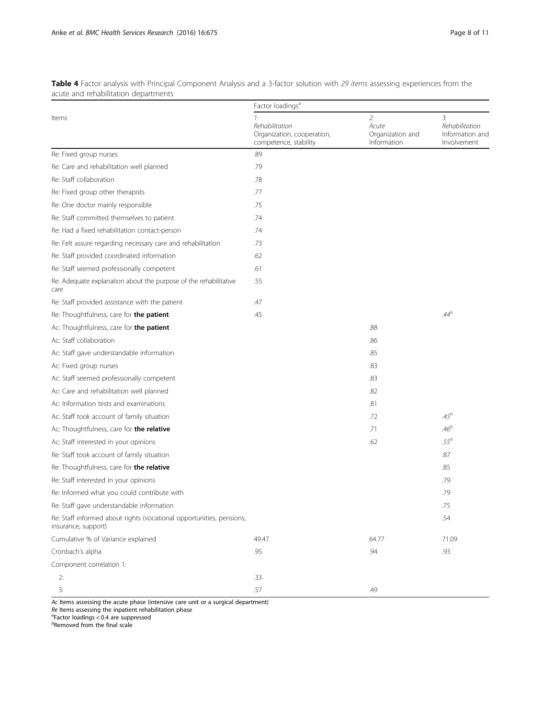<span id="page-7-0"></span>Table 4 Factor analysis with Principal Component Analysis and a 3-factor solution with 29 items assessing experiences from the acute and rehabilitation departments

|                                                                                             | Factor loadings <sup>a</sup>                                                |                                                |                                                        |  |  |  |  |
|---------------------------------------------------------------------------------------------|-----------------------------------------------------------------------------|------------------------------------------------|--------------------------------------------------------|--|--|--|--|
| Items                                                                                       | 1:<br>Rehabilitation<br>Organization, cooperation,<br>competence, stability | 2:<br>Acute<br>Organization and<br>Information | 3:<br>Rehabilitation<br>Information and<br>Involvement |  |  |  |  |
| Re: Fixed group nurses                                                                      | .89                                                                         |                                                |                                                        |  |  |  |  |
| Re: Care and rehabilitation well planned                                                    | .79                                                                         |                                                |                                                        |  |  |  |  |
| Re: Staff collaboration                                                                     | .78                                                                         |                                                |                                                        |  |  |  |  |
| Re: Fixed group other therapists                                                            | .77                                                                         |                                                |                                                        |  |  |  |  |
| Re: One doctor mainly responsible                                                           | .75                                                                         |                                                |                                                        |  |  |  |  |
| Re: Staff committed themselves to patient                                                   | .74                                                                         |                                                |                                                        |  |  |  |  |
| Re: Had a fixed rehabilitation contact-person                                               | .74                                                                         |                                                |                                                        |  |  |  |  |
| Re: Felt assure regarding necessary care and rehabilitation                                 | .73                                                                         |                                                |                                                        |  |  |  |  |
| Re: Staff provided coordinated information                                                  | .62                                                                         |                                                |                                                        |  |  |  |  |
| Re: Staff seemed professionally competent                                                   | .61                                                                         |                                                |                                                        |  |  |  |  |
| Re: Adequate explanation about the purpose of the rehabilitative<br>care                    | .55                                                                         |                                                |                                                        |  |  |  |  |
| Re: Staff provided assistance with the patient                                              | .47                                                                         |                                                |                                                        |  |  |  |  |
| Re: Thoughtfulness, care for the patient                                                    | .45                                                                         |                                                | $.44^{b}$                                              |  |  |  |  |
| Ac: Thoughtfulness, care for the patient                                                    |                                                                             | .88                                            |                                                        |  |  |  |  |
| Ac: Staff collaboration                                                                     |                                                                             | .86                                            |                                                        |  |  |  |  |
| Ac: Staff gave understandable information                                                   |                                                                             | .85                                            |                                                        |  |  |  |  |
| Ac: Fixed group nurses                                                                      |                                                                             | .83                                            |                                                        |  |  |  |  |
| Ac: Staff seemed professionally competent                                                   |                                                                             | .83                                            |                                                        |  |  |  |  |
| Ac: Care and rehabilitation well planned                                                    |                                                                             | .82                                            |                                                        |  |  |  |  |
| Ac: Information tests and examinations                                                      |                                                                             | .81                                            |                                                        |  |  |  |  |
| Ac: Staff took account of family situation                                                  |                                                                             | .72                                            | $.45^{b}$                                              |  |  |  |  |
| Ac: Thoughtfulness, care for the relative                                                   |                                                                             | .71                                            | $.46^{b}$                                              |  |  |  |  |
| Ac: Staff interested in your opinions                                                       |                                                                             | .62                                            | $.55^{b}$                                              |  |  |  |  |
| Re: Staff took account of family situation                                                  |                                                                             |                                                | .87                                                    |  |  |  |  |
| Re: Thoughtfulness, care for the relative                                                   |                                                                             |                                                | .85                                                    |  |  |  |  |
| Re: Staff interested in your opinions                                                       |                                                                             |                                                | .79                                                    |  |  |  |  |
| Re: Informed what you could contribute with                                                 |                                                                             |                                                | .79                                                    |  |  |  |  |
| Re: Staff gave understandable information                                                   |                                                                             |                                                | .75                                                    |  |  |  |  |
| Re: Staff informed about rights (vocational opportunities, pensions,<br>insurance, support) |                                                                             |                                                | .54                                                    |  |  |  |  |
| Cumulative % of Variance explained                                                          | 49.47                                                                       | 64.77                                          | 71.09                                                  |  |  |  |  |
| Cronbach's alpha                                                                            | .95                                                                         | .94                                            | .93                                                    |  |  |  |  |
| Component correlation 1:                                                                    |                                                                             |                                                |                                                        |  |  |  |  |
| 2:                                                                                          | .33                                                                         |                                                |                                                        |  |  |  |  |
| 3:                                                                                          | .57                                                                         | .49                                            |                                                        |  |  |  |  |

Ac Items assessing the acute phase (intensive care unit or a surgical department)

 $Re$  Items assessing the inpatient rehabilitation phase

<sup>a</sup>Factor loadings < 0.4 are suppressed<br><sup>b</sup>Removed from the final scale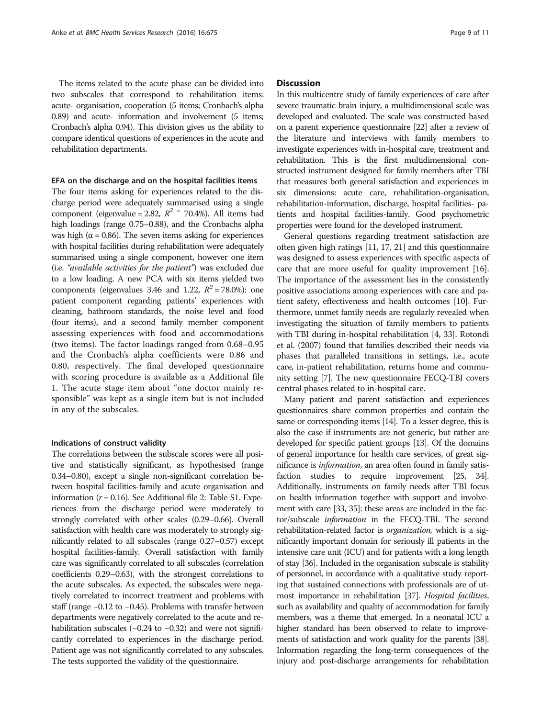The items related to the acute phase can be divided into two subscales that correspond to rehabilitation items: acute- organisation, cooperation (5 items; Cronbach's alpha 0.89) and acute- information and involvement (5 items; Cronbach's alpha 0.94). This division gives us the ability to compare identical questions of experiences in the acute and rehabilitation departments.

# EFA on the discharge and on the hospital facilities items

The four items asking for experiences related to the discharge period were adequately summarised using a single component (eigenvalue = 2.82,  $R^2$  = 70.4%). All items had high loadings (range 0.75–0.88), and the Cronbachs alpha was high ( $\alpha$  = 0.86). The seven items asking for experiences with hospital facilities during rehabilitation were adequately summarised using a single component, however one item (i.e. "available activities for the patient") was excluded due to a low loading. A new PCA with six items yielded two components (eigenvalues 3.46 and 1.22,  $R^2 = 78.0\%$ ): one patient component regarding patients' experiences with cleaning, bathroom standards, the noise level and food (four items), and a second family member component assessing experiences with food and accommodations (two items). The factor loadings ranged from 0.68–0.95 and the Cronbach's alpha coefficients were 0.86 and 0.80, respectively. The final developed questionnaire with scoring procedure is available as a Additional file [1.](#page-9-0) The acute stage item about "one doctor mainly responsible" was kept as a single item but is not included in any of the subscales.

# Indications of construct validity

The correlations between the subscale scores were all positive and statistically significant, as hypothesised (range 0.34–0.80), except a single non-significant correlation between hospital facilities-family and acute organisation and information ( $r = 0.16$ ). See Additional file [2:](#page-9-0) Table S1. Experiences from the discharge period were moderately to strongly correlated with other scales (0.29–0.66). Overall satisfaction with health care was moderately to strongly significantly related to all subscales (range 0.27–0.57) except hospital facilities-family. Overall satisfaction with family care was significantly correlated to all subscales (correlation coefficients 0.29–0.63), with the strongest correlations to the acute subscales. As expected, the subscales were negatively correlated to incorrect treatment and problems with staff (range −0.12 to −0.45). Problems with transfer between departments were negatively correlated to the acute and rehabilitation subscales (−0.24 to −0.32) and were not significantly correlated to experiences in the discharge period. Patient age was not significantly correlated to any subscales. The tests supported the validity of the questionnaire.

# **Discussion**

In this multicentre study of family experiences of care after severe traumatic brain injury, a multidimensional scale was developed and evaluated. The scale was constructed based on a parent experience questionnaire [\[22\]](#page-10-0) after a review of the literature and interviews with family members to investigate experiences with in-hospital care, treatment and rehabilitation. This is the first multidimensional constructed instrument designed for family members after TBI that measures both general satisfaction and experiences in six dimensions: acute care, rehabilitation-organisation, rehabilitation-information, discharge, hospital facilities- patients and hospital facilities-family. Good psychometric properties were found for the developed instrument.

General questions regarding treatment satisfaction are often given high ratings [\[11, 17](#page-10-0), [21\]](#page-10-0) and this questionnaire was designed to assess experiences with specific aspects of care that are more useful for quality improvement [[16](#page-10-0)]. The importance of the assessment lies in the consistently positive associations among experiences with care and patient safety, effectiveness and health outcomes [[10](#page-10-0)]. Furthermore, unmet family needs are regularly revealed when investigating the situation of family members to patients with TBI during in-hospital rehabilitation [\[4](#page-10-0), [33](#page-10-0)]. Rotondi et al. (2007) found that families described their needs via phases that paralleled transitions in settings, i.e., acute care, in-patient rehabilitation, returns home and community setting [\[7](#page-10-0)]. The new questionnaire FECQ-TBI covers central phases related to in-hospital care.

Many patient and parent satisfaction and experiences questionnaires share common properties and contain the same or corresponding items [[14](#page-10-0)]. To a lesser degree, this is also the case if instruments are not generic, but rather are developed for specific patient groups [[13](#page-10-0)]. Of the domains of general importance for health care services, of great significance is information, an area often found in family satis-faction studies to require improvement [\[25, 34](#page-10-0)]. Additionally, instruments on family needs after TBI focus on health information together with support and involvement with care [\[33](#page-10-0), [35\]](#page-10-0): these areas are included in the factor/subscale information in the FECQ-TBI. The second rehabilitation-related factor is organization, which is a significantly important domain for seriously ill patients in the intensive care unit (ICU) and for patients with a long length of stay [[36\]](#page-10-0). Included in the organisation subscale is stability of personnel, in accordance with a qualitative study reporting that sustained connections with professionals are of utmost importance in rehabilitation [[37\]](#page-10-0). Hospital facilities, such as availability and quality of accommodation for family members, was a theme that emerged. In a neonatal ICU a higher standard has been observed to relate to improvements of satisfaction and work quality for the parents [\[38](#page-10-0)]. Information regarding the long-term consequences of the injury and post-discharge arrangements for rehabilitation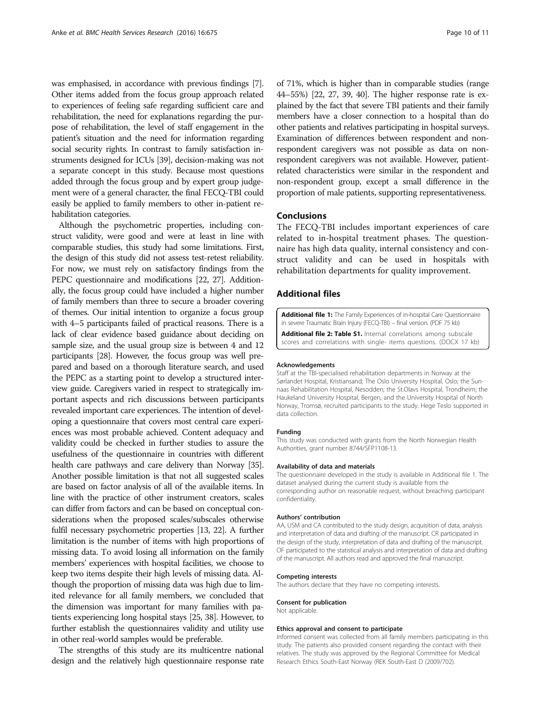<span id="page-9-0"></span>was emphasised, in accordance with previous findings [[7](#page-10-0)]. Other items added from the focus group approach related to experiences of feeling safe regarding sufficient care and rehabilitation, the need for explanations regarding the purpose of rehabilitation, the level of staff engagement in the patient's situation and the need for information regarding social security rights. In contrast to family satisfaction instruments designed for ICUs [[39\]](#page-10-0), decision-making was not a separate concept in this study. Because most questions added through the focus group and by expert group judgement were of a general character, the final FECQ-TBI could easily be applied to family members to other in-patient rehabilitation categories.

Although the psychometric properties, including construct validity, were good and were at least in line with comparable studies, this study had some limitations. First, the design of this study did not assess test-retest reliability. For now, we must rely on satisfactory findings from the PEPC questionnaire and modifications [\[22, 27](#page-10-0)]. Additionally, the focus group could have included a higher number of family members than three to secure a broader covering of themes. Our initial intention to organize a focus group with 4–5 participants failed of practical reasons. There is a lack of clear evidence based guidance about deciding on sample size, and the usual group size is between 4 and 12 participants [\[28\]](#page-10-0). However, the focus group was well prepared and based on a thorough literature search, and used the PEPC as a starting point to develop a structured interview guide. Caregivers varied in respect to strategically important aspects and rich discussions between participants revealed important care experiences. The intention of developing a questionnaire that covers most central care experiences was most probable achieved. Content adequacy and validity could be checked in further studies to assure the usefulness of the questionnaire in countries with different health care pathways and care delivery than Norway [\[35](#page-10-0)]. Another possible limitation is that not all suggested scales are based on factor analysis of all of the available items. In line with the practice of other instrument creators, scales can differ from factors and can be based on conceptual considerations when the proposed scales/subscales otherwise fulfil necessary psychometric properties [\[13](#page-10-0), [22](#page-10-0)]. A further limitation is the number of items with high proportions of missing data. To avoid losing all information on the family members' experiences with hospital facilities, we choose to keep two items despite their high levels of missing data. Although the proportion of missing data was high due to limited relevance for all family members, we concluded that the dimension was important for many families with patients experiencing long hospital stays [\[25, 38](#page-10-0)]. However, to further establish the questionnaires validity and utility use in other real-world samples would be preferable.

The strengths of this study are its multicentre national design and the relatively high questionnaire response rate of 71%, which is higher than in comparable studies (range 44–55%) [\[22](#page-10-0), [27, 39](#page-10-0), [40\]](#page-10-0). The higher response rate is explained by the fact that severe TBI patients and their family members have a closer connection to a hospital than do other patients and relatives participating in hospital surveys. Examination of differences between respondent and nonrespondent caregivers was not possible as data on nonrespondent caregivers was not available. However, patientrelated characteristics were similar in the respondent and non-respondent group, except a small difference in the proportion of male patients, supporting representativeness.

# Conclusions

The FECQ-TBI includes important experiences of care related to in-hospital treatment phases. The questionnaire has high data quality, internal consistency and construct validity and can be used in hospitals with rehabilitation departments for quality improvement.

## Additional files

[Additional file 1:](dx.doi.org/10.1186/s12913-016-1884-6) The Family Experiences of in-hospital Care Questionnaire in severe Traumatic Brain Injury (FECQ-TBI) – final version. (PDF 75 kb)

[Additional file 2: Table S1.](dx.doi.org/10.1186/s12913-016-1884-6) Internal correlations among subscale scores and correlations with single- items questions. (DOCX 17 kb)

#### Acknowledgements

Staff at the TBI-specialised rehabilitation departments in Norway at the Sørlandet Hospital, Kristiansand; The Oslo University Hospital, Oslo; the Sunnaas Rehabilitation Hospital, Nesodden; the St.Olavs Hospital, Trondheim; the Haukeland University Hospital, Bergen, and the University Hospital of North Norway, Tromsø, recruited participants to the study. Hege Teslo supported in data collection.

#### Funding

This study was conducted with grants from the North Norwegian Health Authorities, grant number 8744/SFP1108-13.

#### Availability of data and materials

The questionnaire developed in the study is available in Additional file 1. The dataset analysed during the current study is available from the corresponding author on reasonable request, without breaching participant confidentiality.

#### Authors' contribution

AA, USM and CA contributed to the study design, acquisition of data, analysis and interpretation of data and drafting of the manuscript. CR participated in the design of the study, interpretation of data and drafting of the manuscript. OF participated to the statistical analysis and interpretation of data and drafting of the manuscript. All authors read and approved the final manuscript.

#### Competing interests

The authors declare that they have no competing interests.

# Consent for publication

Not applicable.

#### Ethics approval and consent to participate

Informed consent was collected from all family members participating in this study. The patients also provided consent regarding the contact with their relatives. The study was approved by the Regional Committee for Medical Research Ethics South-East Norway (REK South-East D (2009/702).